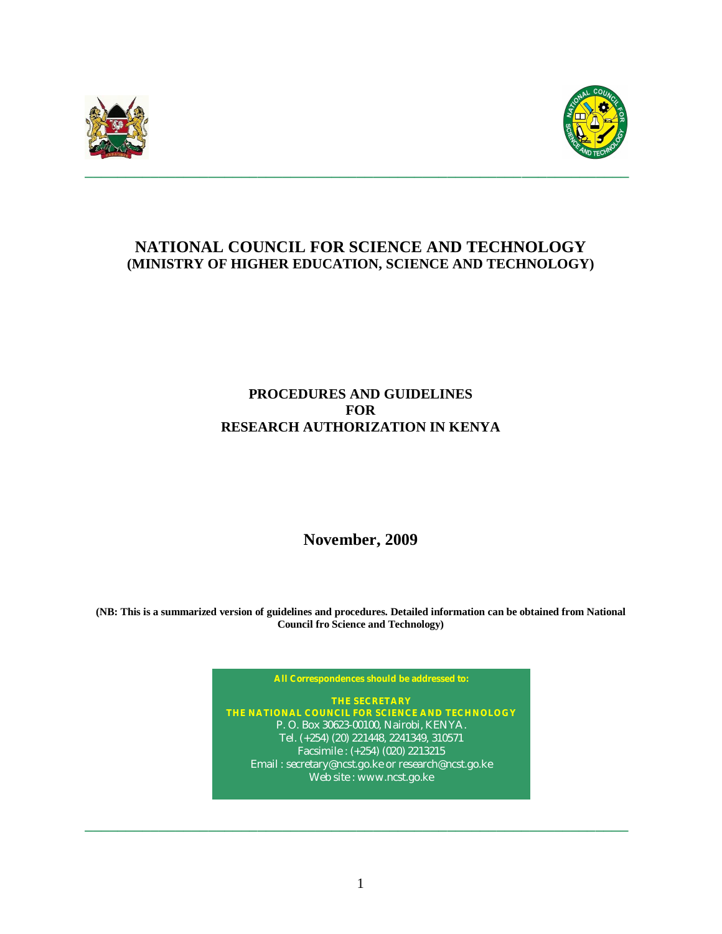



# **NATIONAL COUNCIL FOR SCIENCE AND TECHNOLOGY (MINISTRY OF HIGHER EDUCATION, SCIENCE AND TECHNOLOGY)**

## **PROCEDURES AND GUIDELINES FOR RESEARCH AUTHORIZATION IN KENYA**

**November, 2009**

**(NB: This is a summarized version of guidelines and procedures. Detailed information can be obtained from National Council fro Science and Technology)**

**All Correspondences should be addressed to:**

**THE SECRETARY THE NATIONAL COUNCIL FOR SCIENCE AND TECHNOLOGY** P. O. Box 30623-00100, Nairobi, KENYA. Tel. (+254) (20) 221448, 2241349, 310571 Facsimile : (+254) (020) 2213215 Email : secretary@ncst.go.ke or research@ncst.go.ke Web site : www.ncst.go.ke

**\_\_\_\_\_\_\_\_\_\_\_\_\_\_\_\_\_\_\_\_\_\_\_\_\_\_\_\_\_\_\_\_\_\_\_\_\_\_\_\_\_\_\_\_\_\_\_\_\_\_\_\_\_\_\_\_\_\_\_\_\_\_\_\_\_\_**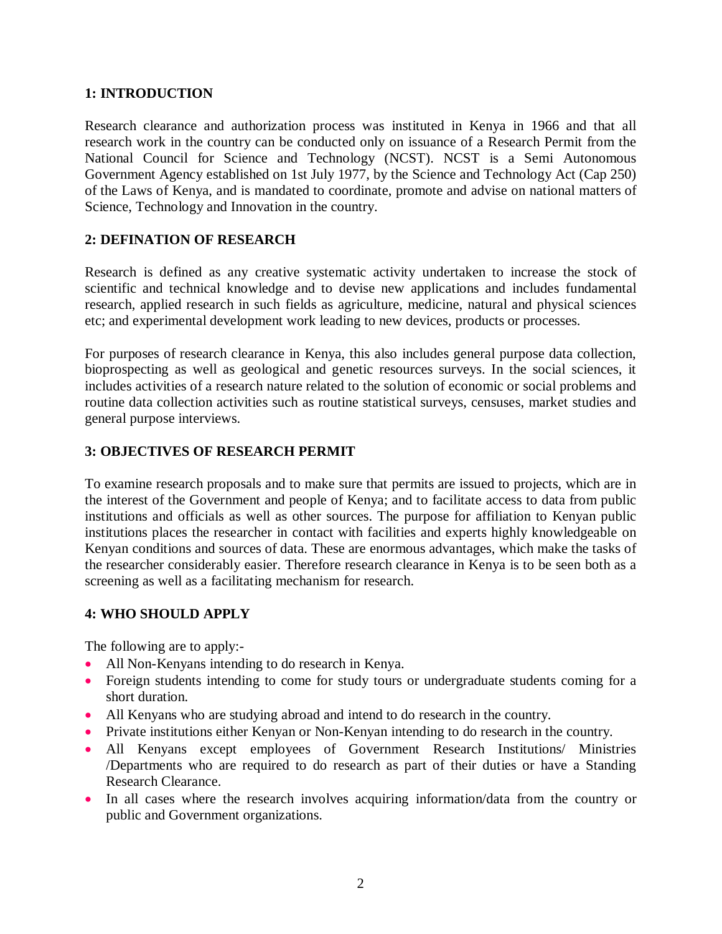#### **1: INTRODUCTION**

Research clearance and authorization process was instituted in Kenya in 1966 and that all research work in the country can be conducted only on issuance of a Research Permit from the National Council for Science and Technology (NCST). NCST is a Semi Autonomous Government Agency established on 1st July 1977, by the Science and Technology Act (Cap 250) of the Laws of Kenya, and is mandated to coordinate, promote and advise on national matters of Science, Technology and Innovation in the country.

#### **2: DEFINATION OF RESEARCH**

Research is defined as any creative systematic activity undertaken to increase the stock of scientific and technical knowledge and to devise new applications and includes fundamental research, applied research in such fields as agriculture, medicine, natural and physical sciences etc; and experimental development work leading to new devices, products or processes.

For purposes of research clearance in Kenya, this also includes general purpose data collection, bioprospecting as well as geological and genetic resources surveys. In the social sciences, it includes activities of a research nature related to the solution of economic or social problems and routine data collection activities such as routine statistical surveys, censuses, market studies and general purpose interviews.

#### **3: OBJECTIVES OF RESEARCH PERMIT**

To examine research proposals and to make sure that permits are issued to projects, which are in the interest of the Government and people of Kenya; and to facilitate access to data from public institutions and officials as well as other sources. The purpose for affiliation to Kenyan public institutions places the researcher in contact with facilities and experts highly knowledgeable on Kenyan conditions and sources of data. These are enormous advantages, which make the tasks of the researcher considerably easier. Therefore research clearance in Kenya is to be seen both as a screening as well as a facilitating mechanism for research.

#### **4: WHO SHOULD APPLY**

The following are to apply:-

- All Non-Kenyans intending to do research in Kenya.
- Foreign students intending to come for study tours or undergraduate students coming for a short duration.
- All Kenyans who are studying abroad and intend to do research in the country.
- Private institutions either Kenyan or Non-Kenyan intending to do research in the country.
- All Kenyans except employees of Government Research Institutions/ Ministries /Departments who are required to do research as part of their duties or have a Standing Research Clearance.
- In all cases where the research involves acquiring information/data from the country or public and Government organizations.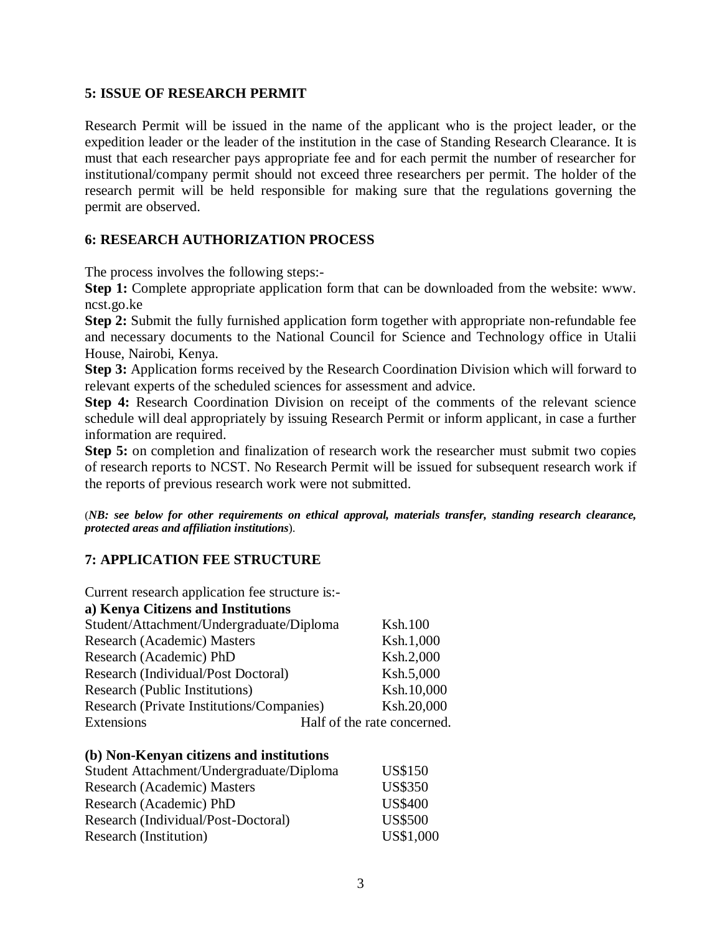#### **5: ISSUE OF RESEARCH PERMIT**

Research Permit will be issued in the name of the applicant who is the project leader, or the expedition leader or the leader of the institution in the case of Standing Research Clearance. It is must that each researcher pays appropriate fee and for each permit the number of researcher for institutional/company permit should not exceed three researchers per permit. The holder of the research permit will be held responsible for making sure that the regulations governing the permit are observed.

#### **6: RESEARCH AUTHORIZATION PROCESS**

The process involves the following steps:-

**Step 1:** Complete appropriate application form that can be downloaded from the website: www. ncst.go.ke

**Step 2:** Submit the fully furnished application form together with appropriate non-refundable fee and necessary documents to the National Council for Science and Technology office in Utalii House, Nairobi, Kenya.

**Step 3:** Application forms received by the Research Coordination Division which will forward to relevant experts of the scheduled sciences for assessment and advice.

**Step 4:** Research Coordination Division on receipt of the comments of the relevant science schedule will deal appropriately by issuing Research Permit or inform applicant, in case a further information are required.

**Step 5:** on completion and finalization of research work the researcher must submit two copies of research reports to NCST. No Research Permit will be issued for subsequent research work if the reports of previous research work were not submitted.

(*NB: see below for other requirements on ethical approval, materials transfer, standing research clearance, protected areas and affiliation institutions*).

#### **7: APPLICATION FEE STRUCTURE**

| Current research application fee structure is:- |                             |
|-------------------------------------------------|-----------------------------|
| a) Kenya Citizens and Institutions              |                             |
| Student/Attachment/Undergraduate/Diploma        | <b>Ksh.100</b>              |
| Research (Academic) Masters                     | Ksh.1,000                   |
| Research (Academic) PhD                         | Ksh.2,000                   |
| Research (Individual/Post Doctoral)             | Ksh.5,000                   |
| Research (Public Institutions)                  | Ksh.10,000                  |
| Research (Private Institutions/Companies)       | Ksh.20,000                  |
| Extensions                                      | Half of the rate concerned. |

| Student Attachment/Undergraduate/Diploma | <b>US\$150</b> |
|------------------------------------------|----------------|
| Research (Academic) Masters              | <b>US\$350</b> |
| Research (Academic) PhD                  | <b>US\$400</b> |
| Research (Individual/Post-Doctoral)      | <b>US\$500</b> |
| Research (Institution)                   | US\$1,000      |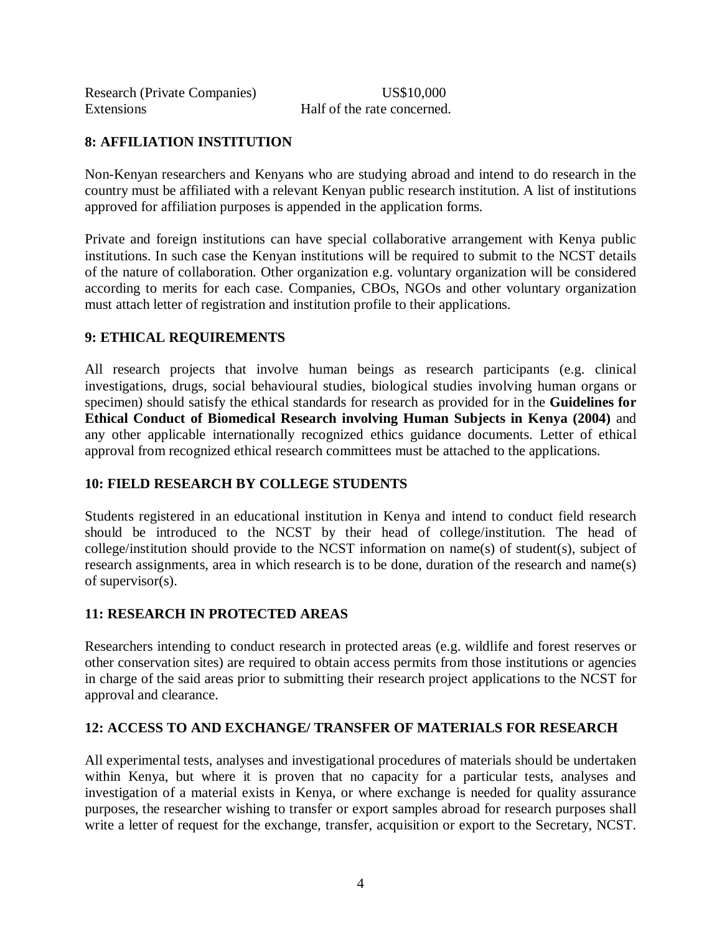| <b>Research (Private Companies)</b> |  |
|-------------------------------------|--|
| Extensions                          |  |

US\$10,000 Half of the rate concerned.

## **8: AFFILIATION INSTITUTION**

Non-Kenyan researchers and Kenyans who are studying abroad and intend to do research in the country must be affiliated with a relevant Kenyan public research institution. A list of institutions approved for affiliation purposes is appended in the application forms.

Private and foreign institutions can have special collaborative arrangement with Kenya public institutions. In such case the Kenyan institutions will be required to submit to the NCST details of the nature of collaboration. Other organization e.g. voluntary organization will be considered according to merits for each case. Companies, CBOs, NGOs and other voluntary organization must attach letter of registration and institution profile to their applications.

### **9: ETHICAL REQUIREMENTS**

All research projects that involve human beings as research participants (e.g. clinical investigations, drugs, social behavioural studies, biological studies involving human organs or specimen) should satisfy the ethical standards for research as provided for in the **Guidelines for Ethical Conduct of Biomedical Research involving Human Subjects in Kenya (2004)** and any other applicable internationally recognized ethics guidance documents. Letter of ethical approval from recognized ethical research committees must be attached to the applications.

### **10: FIELD RESEARCH BY COLLEGE STUDENTS**

Students registered in an educational institution in Kenya and intend to conduct field research should be introduced to the NCST by their head of college/institution. The head of college/institution should provide to the NCST information on name(s) of student(s), subject of research assignments, area in which research is to be done, duration of the research and name(s) of supervisor(s).

### **11: RESEARCH IN PROTECTED AREAS**

Researchers intending to conduct research in protected areas (e.g. wildlife and forest reserves or other conservation sites) are required to obtain access permits from those institutions or agencies in charge of the said areas prior to submitting their research project applications to the NCST for approval and clearance.

### **12: ACCESS TO AND EXCHANGE/ TRANSFER OF MATERIALS FOR RESEARCH**

All experimental tests, analyses and investigational procedures of materials should be undertaken within Kenya, but where it is proven that no capacity for a particular tests, analyses and investigation of a material exists in Kenya, or where exchange is needed for quality assurance purposes, the researcher wishing to transfer or export samples abroad for research purposes shall write a letter of request for the exchange, transfer, acquisition or export to the Secretary, NCST.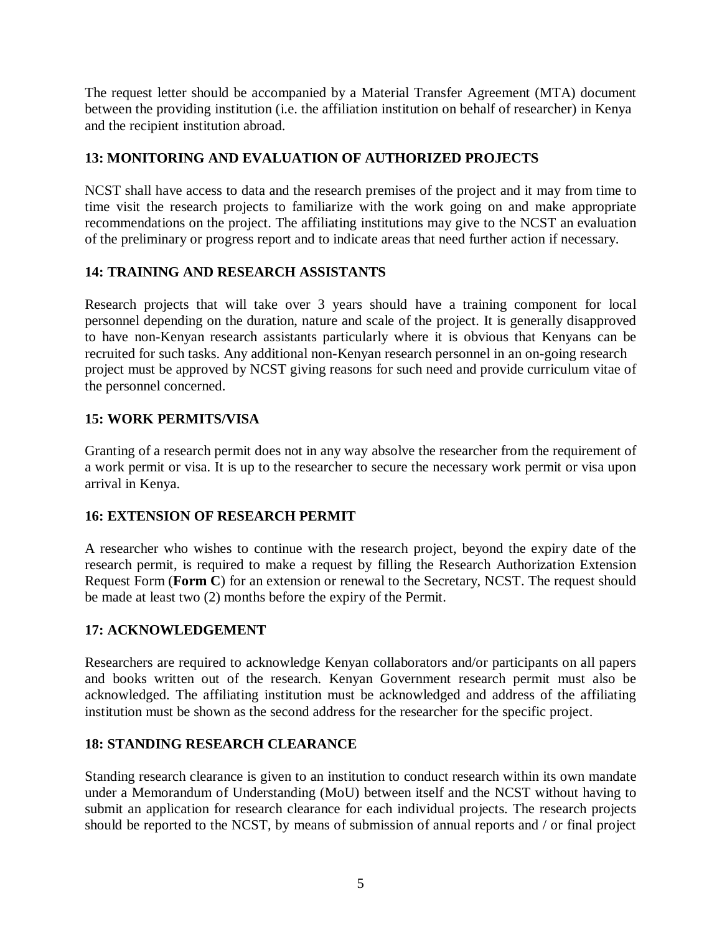The request letter should be accompanied by a Material Transfer Agreement (MTA) document between the providing institution (i.e. the affiliation institution on behalf of researcher) in Kenya and the recipient institution abroad.

## **13: MONITORING AND EVALUATION OF AUTHORIZED PROJECTS**

NCST shall have access to data and the research premises of the project and it may from time to time visit the research projects to familiarize with the work going on and make appropriate recommendations on the project. The affiliating institutions may give to the NCST an evaluation of the preliminary or progress report and to indicate areas that need further action if necessary.

## **14: TRAINING AND RESEARCH ASSISTANTS**

Research projects that will take over 3 years should have a training component for local personnel depending on the duration, nature and scale of the project. It is generally disapproved to have non-Kenyan research assistants particularly where it is obvious that Kenyans can be recruited for such tasks. Any additional non-Kenyan research personnel in an on-going research project must be approved by NCST giving reasons for such need and provide curriculum vitae of the personnel concerned.

## **15: WORK PERMITS/VISA**

Granting of a research permit does not in any way absolve the researcher from the requirement of a work permit or visa. It is up to the researcher to secure the necessary work permit or visa upon arrival in Kenya.

### **16: EXTENSION OF RESEARCH PERMIT**

A researcher who wishes to continue with the research project, beyond the expiry date of the research permit, is required to make a request by filling the Research Authorization Extension Request Form (**Form C**) for an extension or renewal to the Secretary, NCST. The request should be made at least two (2) months before the expiry of the Permit.

### **17: ACKNOWLEDGEMENT**

Researchers are required to acknowledge Kenyan collaborators and/or participants on all papers and books written out of the research. Kenyan Government research permit must also be acknowledged. The affiliating institution must be acknowledged and address of the affiliating institution must be shown as the second address for the researcher for the specific project.

#### **18: STANDING RESEARCH CLEARANCE**

Standing research clearance is given to an institution to conduct research within its own mandate under a Memorandum of Understanding (MoU) between itself and the NCST without having to submit an application for research clearance for each individual projects. The research projects should be reported to the NCST, by means of submission of annual reports and / or final project